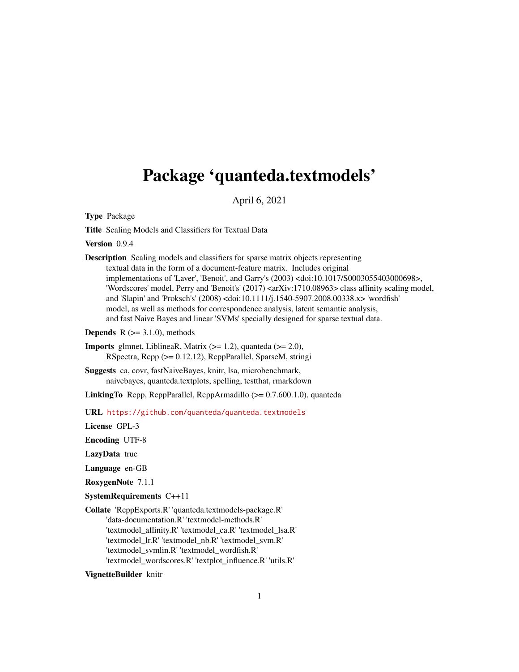# <span id="page-0-0"></span>Package 'quanteda.textmodels'

April 6, 2021

Type Package

Title Scaling Models and Classifiers for Textual Data

Version 0.9.4

Description Scaling models and classifiers for sparse matrix objects representing textual data in the form of a document-feature matrix. Includes original implementations of 'Laver', 'Benoit', and Garry's (2003) <doi:10.1017/S0003055403000698>, 'Wordscores' model, Perry and 'Benoit's' (2017) <arXiv:1710.08963> class affinity scaling model, and 'Slapin' and 'Proksch's' (2008) <doi:10.1111/j.1540-5907.2008.00338.x> 'wordfish' model, as well as methods for correspondence analysis, latent semantic analysis, and fast Naive Bayes and linear 'SVMs' specially designed for sparse textual data.

**Depends**  $R$  ( $>= 3.1.0$ ), methods

LinkingTo Rcpp, RcppParallel, RcppArmadillo (>= 0.7.600.1.0), quanteda

URL <https://github.com/quanteda/quanteda.textmodels>

License GPL-3

Encoding UTF-8

LazyData true

Language en-GB

RoxygenNote 7.1.1

SystemRequirements C++11

Collate 'RcppExports.R' 'quanteda.textmodels-package.R' 'data-documentation.R' 'textmodel-methods.R' 'textmodel\_affinity.R' 'textmodel\_ca.R' 'textmodel\_lsa.R' 'textmodel\_lr.R' 'textmodel\_nb.R' 'textmodel\_svm.R' 'textmodel\_svmlin.R' 'textmodel\_wordfish.R' 'textmodel\_wordscores.R' 'textplot\_influence.R' 'utils.R'

VignetteBuilder knitr

**Imports** glmnet, LiblineaR, Matrix  $(>= 1.2)$ , quanteda  $(>= 2.0)$ , RSpectra, Rcpp (>= 0.12.12), RcppParallel, SparseM, stringi

Suggests ca, covr, fastNaiveBayes, knitr, lsa, microbenchmark, naivebayes, quanteda.textplots, spelling, testthat, rmarkdown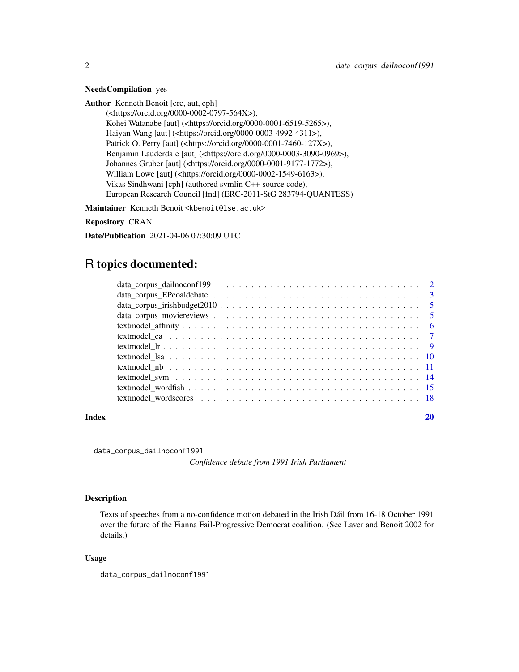#### <span id="page-1-0"></span>NeedsCompilation yes

Author Kenneth Benoit [cre, aut, cph]

(<https://orcid.org/0000-0002-0797-564X>), Kohei Watanabe [aut] (<https://orcid.org/0000-0001-6519-5265>), Haiyan Wang [aut] (<https://orcid.org/0000-0003-4992-4311>), Patrick O. Perry [aut] (<https://orcid.org/0000-0001-7460-127X>), Benjamin Lauderdale [aut] (<https://orcid.org/0000-0003-3090-0969>), Johannes Gruber [aut] (<https://orcid.org/0000-0001-9177-1772>), William Lowe [aut] (<https://orcid.org/0000-0002-1549-6163>), Vikas Sindhwani [cph] (authored svmlin C++ source code), European Research Council [fnd] (ERC-2011-StG 283794-QUANTESS)

Maintainer Kenneth Benoit <kbenoit@lse.ac.uk>

Repository CRAN

Date/Publication 2021-04-06 07:30:09 UTC

# R topics documented:

| Index | 20 |
|-------|----|
|       |    |
|       |    |
|       |    |
|       |    |
|       |    |
|       |    |
|       |    |
|       |    |
|       |    |
|       |    |
|       |    |
|       |    |

data\_corpus\_dailnoconf1991

*Confidence debate from 1991 Irish Parliament*

# Description

Texts of speeches from a no-confidence motion debated in the Irish Dáil from 16-18 October 1991 over the future of the Fianna Fail-Progressive Democrat coalition. (See Laver and Benoit 2002 for details.)

#### Usage

data\_corpus\_dailnoconf1991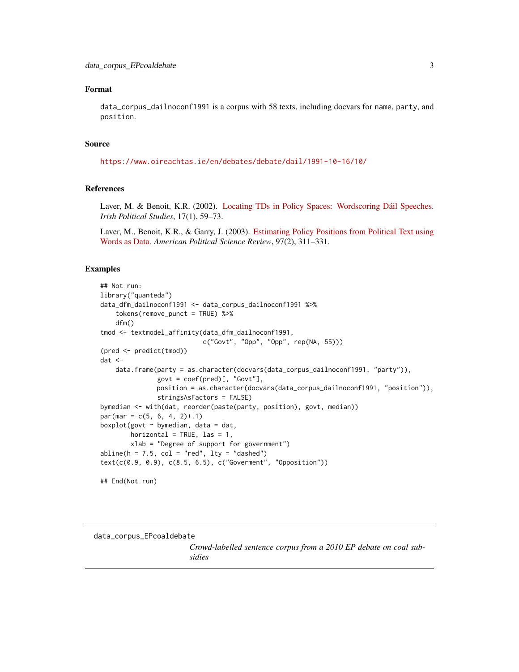# <span id="page-2-0"></span>Format

data\_corpus\_dailnoconf1991 is a corpus with 58 texts, including docvars for name, party, and position.

# Source

<https://www.oireachtas.ie/en/debates/debate/dail/1991-10-16/10/>

# References

Laver, M. & Benoit, K.R. (2002). [Locating TDs in Policy Spaces: Wordscoring Dáil Speeches.](https://kenbenoit.net/pdfs/Laver_Benoit_IPS_2002.pdf) *Irish Political Studies*, 17(1), 59–73.

Laver, M., Benoit, K.R., & Garry, J. (2003). [Estimating Policy Positions from Political Text using](https://kenbenoit.net/pdfs/WORDSCORESAPSR.pdf) [Words as Data.](https://kenbenoit.net/pdfs/WORDSCORESAPSR.pdf) *American Political Science Review*, 97(2), 311–331.

### Examples

```
## Not run:
library("quanteda")
data_dfm_dailnoconf1991 <- data_corpus_dailnoconf1991 %>%
    tokens(remove_punct = TRUE) %>%
    dfm()
tmod <- textmodel_affinity(data_dfm_dailnoconf1991,
                           c("Govt", "Opp", "Opp", rep(NA, 55)))
(pred <- predict(tmod))
dat <-
    data.frame(party = as.character(docvars(data_corpus_dailnoconf1991, "party")),
               govt = \text{coeff}(\text{pred})[, "Govt"],
               position = as.character(docvars(data_corpus_dailnoconf1991, "position")),
               stringsAsFactors = FALSE)
bymedian <- with(dat, reorder(paste(party, position), govt, median))
par(max = c(5, 6, 4, 2)+.1)boxplot(govt \sim bymedian, data = dat,
        horizontal = TRUE, las = 1,
        xlab = "Degree of support for government")
abline(h = 7.5, col = "red", lty = "dashed")text(c(0.9, 0.9), c(8.5, 6.5), c("Goverment", "Opposition"))
## End(Not run)
```
data\_corpus\_EPcoaldebate

*Crowd-labelled sentence corpus from a 2010 EP debate on coal subsidies*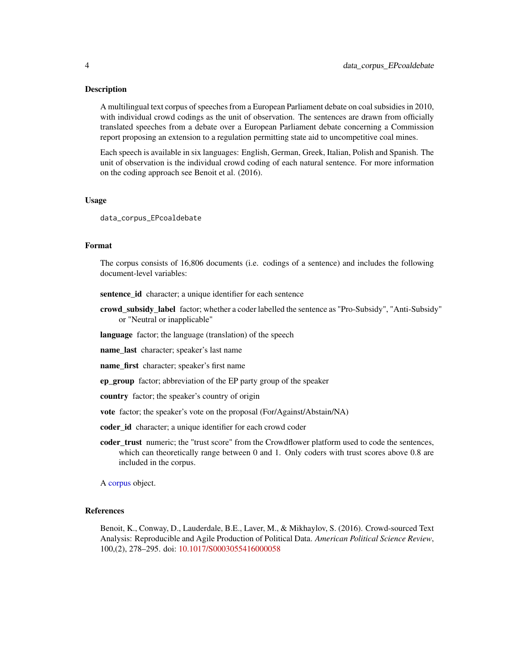#### <span id="page-3-0"></span>Description

A multilingual text corpus of speeches from a European Parliament debate on coal subsidies in 2010, with individual crowd codings as the unit of observation. The sentences are drawn from officially translated speeches from a debate over a European Parliament debate concerning a Commission report proposing an extension to a regulation permitting state aid to uncompetitive coal mines.

Each speech is available in six languages: English, German, Greek, Italian, Polish and Spanish. The unit of observation is the individual crowd coding of each natural sentence. For more information on the coding approach see Benoit et al. (2016).

#### Usage

data\_corpus\_EPcoaldebate

#### Format

The corpus consists of 16,806 documents (i.e. codings of a sentence) and includes the following document-level variables:

sentence\_id character; a unique identifier for each sentence

- crowd subsidy label factor; whether a coder labelled the sentence as "Pro-Subsidy", "Anti-Subsidy" or "Neutral or inapplicable"
- language factor; the language (translation) of the speech

name\_last character; speaker's last name

name first character; speaker's first name

ep\_group factor; abbreviation of the EP party group of the speaker

country factor; the speaker's country of origin

vote factor; the speaker's vote on the proposal (For/Against/Abstain/NA)

- coder\_id character; a unique identifier for each crowd coder
- coder\_trust numeric; the "trust score" from the Crowdflower platform used to code the sentences, which can theoretically range between 0 and 1. Only coders with trust scores above 0.8 are included in the corpus.

A [corpus](#page-0-0) object.

#### References

Benoit, K., Conway, D., Lauderdale, B.E., Laver, M., & Mikhaylov, S. (2016). Crowd-sourced Text Analysis: Reproducible and Agile Production of Political Data. *American Political Science Review*, 100,(2), 278–295. doi: [10.1017/S0003055416000058](https://doi.org/10.1017/S0003055416000058)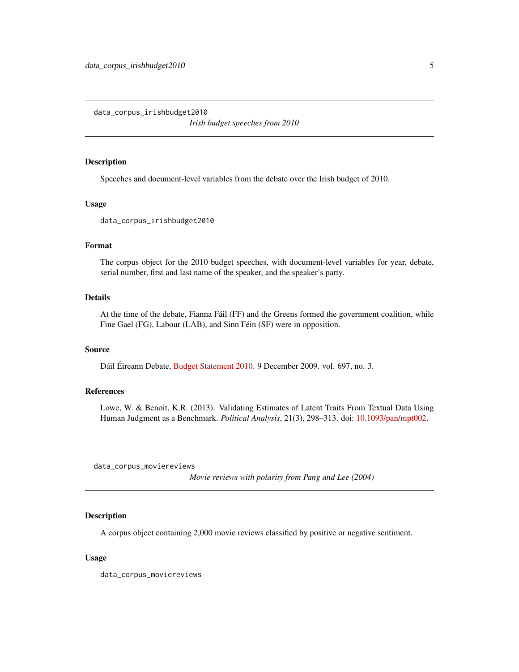<span id="page-4-0"></span>data\_corpus\_irishbudget2010

*Irish budget speeches from 2010*

#### Description

Speeches and document-level variables from the debate over the Irish budget of 2010.

#### Usage

data\_corpus\_irishbudget2010

#### Format

The corpus object for the 2010 budget speeches, with document-level variables for year, debate, serial number, first and last name of the speaker, and the speaker's party.

#### Details

At the time of the debate, Fianna Fáil (FF) and the Greens formed the government coalition, while Fine Gael (FG), Labour (LAB), and Sinn Féin (SF) were in opposition.

#### Source

Dáil Éireann Debate, [Budget Statement 2010.](http://oireachtasdebates.oireachtas.ie/debates%20authoring/debateswebpack.nsf/takes/dail2009120900022?opendocument) 9 December 2009. vol. 697, no. 3.

# References

Lowe, W. & Benoit, K.R. (2013). Validating Estimates of Latent Traits From Textual Data Using Human Judgment as a Benchmark. *Political Analysis*, 21(3), 298–313. doi: [10.1093/pan/mpt002.](https://doi.org/10.1093/pan/mpt002)

data\_corpus\_moviereviews

*Movie reviews with polarity from Pang and Lee (2004)*

# Description

A corpus object containing 2,000 movie reviews classified by positive or negative sentiment.

#### Usage

data\_corpus\_moviereviews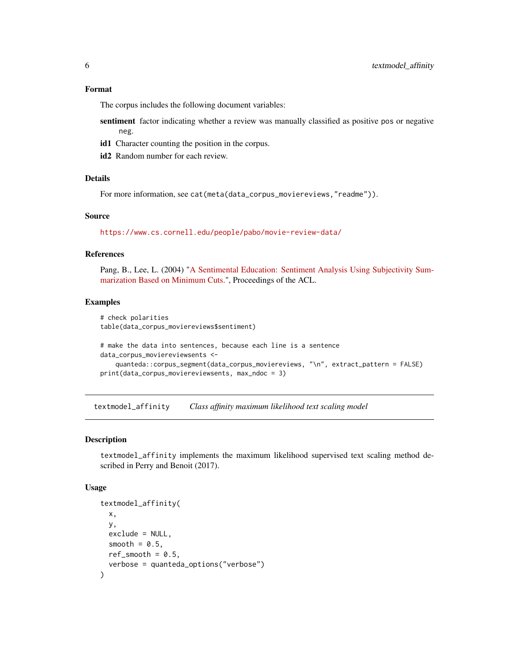#### <span id="page-5-0"></span>Format

The corpus includes the following document variables:

sentiment factor indicating whether a review was manually classified as positive pos or negative neg.

- id1 Character counting the position in the corpus.
- id2 Random number for each review.

# Details

For more information, see cat(meta(data\_corpus\_moviereviews,"readme")).

#### Source

<https://www.cs.cornell.edu/people/pabo/movie-review-data/>

# References

Pang, B., Lee, L. (2004) ["A Sentimental Education: Sentiment Analysis Using Subjectivity Sum](https://www.cs.cornell.edu/home/llee/papers/cutsent.pdf)[marization Based on Minimum Cuts."](https://www.cs.cornell.edu/home/llee/papers/cutsent.pdf), Proceedings of the ACL.

#### Examples

```
# check polarities
table(data_corpus_moviereviews$sentiment)
# make the data into sentences, because each line is a sentence
data_corpus_moviereviewsents <-
    quanteda::corpus_segment(data_corpus_moviereviews, "\n", extract_pattern = FALSE)
print(data_corpus_moviereviewsents, max_ndoc = 3)
```
<span id="page-5-1"></span>textmodel\_affinity *Class affinity maximum likelihood text scaling model*

## Description

textmodel\_affinity implements the maximum likelihood supervised text scaling method described in Perry and Benoit (2017).

#### Usage

```
textmodel_affinity(
 x,
 y,
 exclude = NULL,
  smooth = 0.5,
 ref\_smooth = 0.5,
  verbose = quanteda_options("verbose")
)
```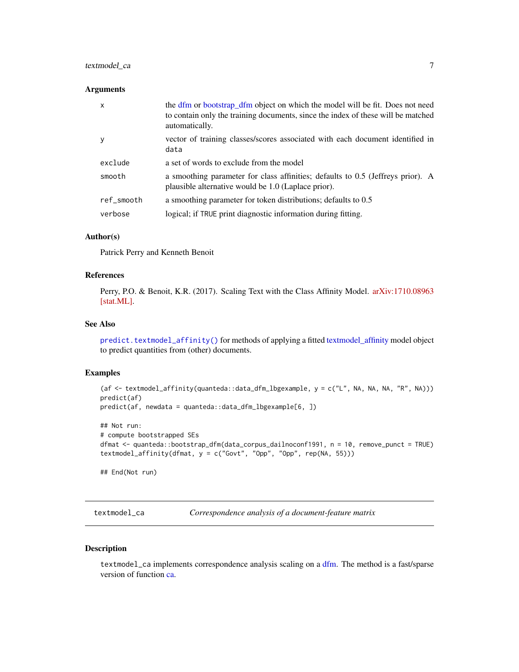# <span id="page-6-0"></span>textmodel\_ca 7

#### **Arguments**

| $\mathsf{x}$ | the dfm or bootstrap_dfm object on which the model will be fit. Does not need<br>to contain only the training documents, since the index of these will be matched<br>automatically. |
|--------------|-------------------------------------------------------------------------------------------------------------------------------------------------------------------------------------|
| y            | vector of training classes/scores associated with each document identified in<br>data                                                                                               |
| exclude      | a set of words to exclude from the model                                                                                                                                            |
| smooth       | a smoothing parameter for class affinities; defaults to 0.5 (Jeffreys prior). A<br>plausible alternative would be 1.0 (Laplace prior).                                              |
| ref smooth   | a smoothing parameter for token distributions; defaults to 0.5                                                                                                                      |
| verbose      | logical; if TRUE print diagnostic information during fitting.                                                                                                                       |

# Author(s)

Patrick Perry and Kenneth Benoit

# References

Perry, P.O. & Benoit, K.R. (2017). Scaling Text with the Class Affinity Model. [arXiv:1710.08963](https://arxiv.org/abs/1710.08963) [\[stat.ML\].](https://arxiv.org/abs/1710.08963)

#### See Also

[predict.textmodel\\_affinity\(\)](#page-0-0) for methods of applying a fitted [textmodel\\_affinity](#page-5-1) model object to predict quantities from (other) documents.

# Examples

```
(af <- textmodel_affinity(quanteda::data_dfm_lbgexample, y = c("L", NA, NA, NA, "R", NA)))
predict(af)
predict(af, newdata = quanteda::data_dfm_lbgexample[6, ])
## Not run:
# compute bootstrapped SEs
dfmat <- quanteda::bootstrap_dfm(data_corpus_dailnoconf1991, n = 10, remove_punct = TRUE)
textmodel_affinity(dfmat, y = c("Govt", "Opp", "Opp", rep(NA, 55)))
```
## End(Not run)

textmodel\_ca *Correspondence analysis of a document-feature matrix*

#### Description

textmodel\_ca implements correspondence analysis scaling on a [dfm.](#page-0-0) The method is a fast/sparse version of function [ca.](#page-0-0)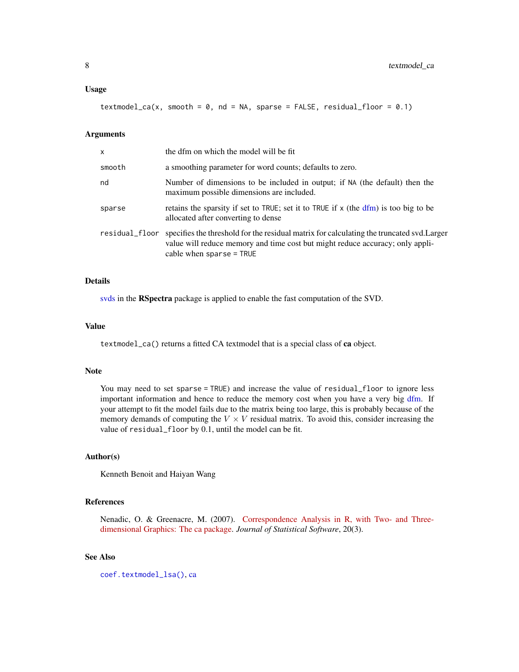<span id="page-7-0"></span>textmodel\_ca(x, smooth =  $0$ , nd = NA, sparse = FALSE, residual\_floor =  $0.1$ )

#### Arguments

| x              | the dfm on which the model will be fit                                                                                                                                                                   |
|----------------|----------------------------------------------------------------------------------------------------------------------------------------------------------------------------------------------------------|
| smooth         | a smoothing parameter for word counts; defaults to zero.                                                                                                                                                 |
| nd             | Number of dimensions to be included in output; if NA (the default) then the<br>maximum possible dimensions are included.                                                                                 |
| sparse         | retains the sparsity if set to TRUE; set it to TRUE if x (the dfm) is too big to be<br>allocated after converting to dense                                                                               |
| residual_floor | specifies the threshold for the residual matrix for calculating the truncated svd. Larger<br>value will reduce memory and time cost but might reduce accuracy; only appli-<br>cable when $sparse = TRUE$ |

# Details

[svds](#page-0-0) in the RSpectra package is applied to enable the fast computation of the SVD.

#### Value

textmodel\_ca() returns a fitted CA textmodel that is a special class of ca object.

#### Note

You may need to set sparse = TRUE) and increase the value of residual\_floor to ignore less important information and hence to reduce the memory cost when you have a very big [dfm.](#page-0-0) If your attempt to fit the model fails due to the matrix being too large, this is probably because of the memory demands of computing the  $V \times V$  residual matrix. To avoid this, consider increasing the value of residual\_floor by 0.1, until the model can be fit.

#### Author(s)

Kenneth Benoit and Haiyan Wang

## References

Nenadic, O. & Greenacre, M. (2007). [Correspondence Analysis in R, with Two- and Three](https://www.jstatsoft.org/v20/i03/)[dimensional Graphics: The ca package.](https://www.jstatsoft.org/v20/i03/) *Journal of Statistical Software*, 20(3).

#### See Also

[coef.textmodel\\_lsa\(\)](#page-0-0), [ca](#page-0-0)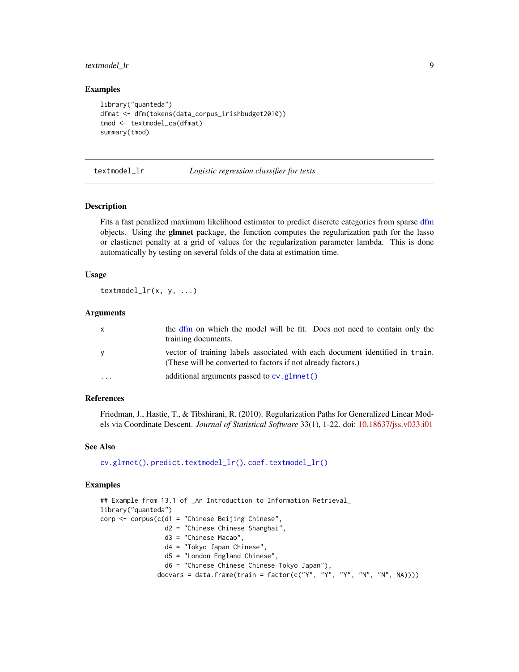# <span id="page-8-0"></span>textmodel\_lr 9

#### Examples

```
library("quanteda")
dfmat <- dfm(tokens(data_corpus_irishbudget2010))
tmod <- textmodel_ca(dfmat)
summary(tmod)
```
textmodel\_lr *Logistic regression classifier for texts*

#### Description

Fits a fast penalized maximum likelihood estimator to predict discrete categories from sparse [dfm](#page-0-0) objects. Using the glmnet package, the function computes the regularization path for the lasso or elasticnet penalty at a grid of values for the regularization parameter lambda. This is done automatically by testing on several folds of the data at estimation time.

# Usage

textmodel\_lr(x, y, ...)

#### Arguments

| X | the dfm on which the model will be fit. Does not need to contain only the<br>training documents.                                             |
|---|----------------------------------------------------------------------------------------------------------------------------------------------|
| У | vector of training labels associated with each document identified in train.<br>(These will be converted to factors if not already factors.) |
| . | additional arguments passed to $cv$ . glmnet()                                                                                               |

# References

Friedman, J., Hastie, T., & Tibshirani, R. (2010). Regularization Paths for Generalized Linear Models via Coordinate Descent. *Journal of Statistical Software* 33(1), 1-22. doi: [10.18637/jss.v033.i01](https://doi.org/10.18637/jss.v033.i01)

#### See Also

[cv.glmnet\(\)](#page-0-0), [predict.textmodel\\_lr\(\)](#page-0-0), [coef.textmodel\\_lr\(\)](#page-0-0)

```
## Example from 13.1 of _An Introduction to Information Retrieval_
library("quanteda")
corp < -corpus(c(d) = "Chinese Beijing Chinese",d2 = "Chinese Chinese Shanghai",
                 d3 = "Chinese Macao",
                 d4 = "Tokyo Japan Chinese",
                 d5 = "London England Chinese",
                 d6 = "Chinese Chinese Chinese Tokyo Japan"),
               docvars = data.frame(train = factor(c("Y", "Y", "Y", "N", "N", NA))))
```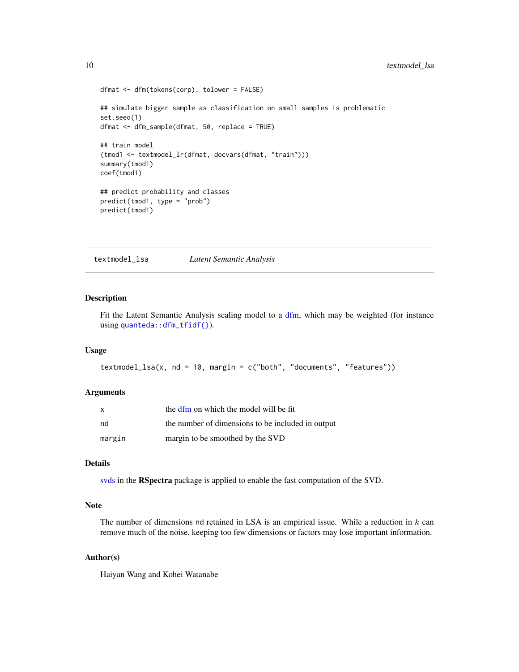```
dfmat <- dfm(tokens(corp), tolower = FALSE)
## simulate bigger sample as classification on small samples is problematic
set.seed(1)
dfmat <- dfm_sample(dfmat, 50, replace = TRUE)
## train model
(tmod1 <- textmodel_lr(dfmat, docvars(dfmat, "train")))
summary(tmod1)
coef(tmod1)
## predict probability and classes
predict(tmod1, type = "prob")
predict(tmod1)
```
textmodel\_lsa *Latent Semantic Analysis*

# Description

Fit the Latent Semantic Analysis scaling model to a [dfm,](#page-0-0) which may be weighted (for instance using [quanteda::dfm\\_tfidf\(\)](#page-0-0)).

# Usage

```
textmodel_lsa(x, nd = 10, margin = c("both", "documents", "features"))
```
# Arguments

| X      | the dfm on which the model will be fit            |
|--------|---------------------------------------------------|
| nd     | the number of dimensions to be included in output |
| margin | margin to be smoothed by the SVD                  |

#### Details

[svds](#page-0-0) in the RSpectra package is applied to enable the fast computation of the SVD.

# Note

The number of dimensions nd retained in LSA is an empirical issue. While a reduction in  $k$  can remove much of the noise, keeping too few dimensions or factors may lose important information.

# Author(s)

Haiyan Wang and Kohei Watanabe

<span id="page-9-0"></span>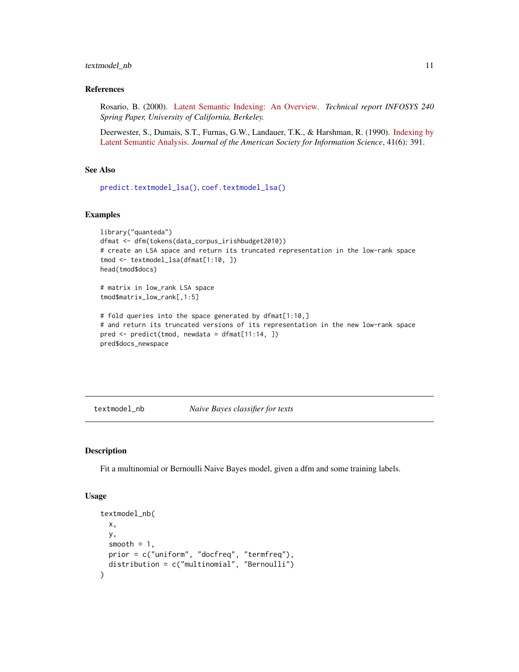#### <span id="page-10-0"></span>textmodel\_nb 11

#### References

Rosario, B. (2000). [Latent Semantic Indexing: An Overview.](http://www.cse.msu.edu/~cse960/Papers/LSI/LSI.pdf) *Technical report INFOSYS 240 Spring Paper, University of California, Berkeley.*

Deerwester, S., Dumais, S.T., Furnas, G.W., Landauer, T.K., & Harshman, R. (1990). [Indexing by](https://search.proquest.com/docview/1301252034) [Latent Semantic Analysis.](https://search.proquest.com/docview/1301252034) *Journal of the American Society for Information Science*, 41(6): 391.

# See Also

[predict.textmodel\\_lsa\(\)](#page-0-0), [coef.textmodel\\_lsa\(\)](#page-0-0)

#### Examples

```
library("quanteda")
dfmat <- dfm(tokens(data_corpus_irishbudget2010))
# create an LSA space and return its truncated representation in the low-rank space
tmod <- textmodel_lsa(dfmat[1:10, ])
head(tmod$docs)
```
# matrix in low\_rank LSA space tmod\$matrix\_low\_rank[,1:5]

```
# fold queries into the space generated by dfmat[1:10,]
# and return its truncated versions of its representation in the new low-rank space
pred <- predict(tmod, newdata = dfmat[11:14, ])
pred$docs_newspace
```
textmodel\_nb *Naive Bayes classifier for texts*

#### Description

Fit a multinomial or Bernoulli Naive Bayes model, given a dfm and some training labels.

#### Usage

```
textmodel_nb(
  x,
 y,
  smooth = 1,
 prior = c("uniform", "docfreq", "termfreq"),
  distribution = c("multinomial", "Bernoulli")
)
```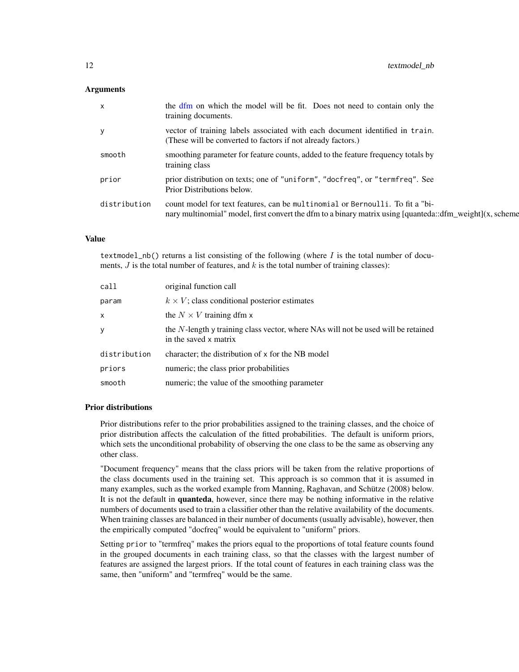# <span id="page-11-0"></span>**Arguments**

| $\mathsf{X}$ | the dfm on which the model will be fit. Does not need to contain only the<br>training documents.                                                                                          |
|--------------|-------------------------------------------------------------------------------------------------------------------------------------------------------------------------------------------|
| y            | vector of training labels associated with each document identified in train.<br>(These will be converted to factors if not already factors.)                                              |
| smooth       | smoothing parameter for feature counts, added to the feature frequency totals by<br>training class                                                                                        |
| prior        | prior distribution on texts; one of "uniform", "docfreq", or "termfreq". See<br>Prior Distributions below.                                                                                |
| distribution | count model for text features, can be multinomial or Bernoulli. To fit a "bi-<br>nary multinomial" model, first convert the dfm to a binary matrix using [quanteda::dfm_weight](x, scheme |

# Value

textmodel\_nb() returns a list consisting of the following (where  $I$  is the total number of documents,  $J$  is the total number of features, and  $k$  is the total number of training classes):

| call         | original function call                                                                                     |
|--------------|------------------------------------------------------------------------------------------------------------|
| param        | $k \times V$ ; class conditional posterior estimates                                                       |
| x            | the $N \times V$ training dfm x                                                                            |
| у            | the N-length y training class vector, where NAs will not be used will be retained<br>in the saved x matrix |
| distribution | character; the distribution of x for the NB model                                                          |
| priors       | numeric; the class prior probabilities                                                                     |
| smooth       | numeric; the value of the smoothing parameter                                                              |

#### Prior distributions

Prior distributions refer to the prior probabilities assigned to the training classes, and the choice of prior distribution affects the calculation of the fitted probabilities. The default is uniform priors, which sets the unconditional probability of observing the one class to be the same as observing any other class.

"Document frequency" means that the class priors will be taken from the relative proportions of the class documents used in the training set. This approach is so common that it is assumed in many examples, such as the worked example from Manning, Raghavan, and Schütze (2008) below. It is not the default in **quanteda**, however, since there may be nothing informative in the relative numbers of documents used to train a classifier other than the relative availability of the documents. When training classes are balanced in their number of documents (usually advisable), however, then the empirically computed "docfreq" would be equivalent to "uniform" priors.

Setting prior to "termfreq" makes the priors equal to the proportions of total feature counts found in the grouped documents in each training class, so that the classes with the largest number of features are assigned the largest priors. If the total count of features in each training class was the same, then "uniform" and "termfreq" would be the same.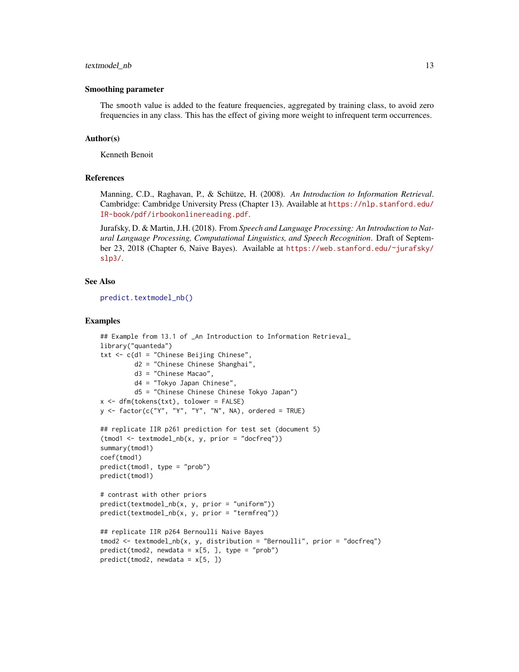#### <span id="page-12-0"></span>textmodel\_nb 13

#### Smoothing parameter

The smooth value is added to the feature frequencies, aggregated by training class, to avoid zero frequencies in any class. This has the effect of giving more weight to infrequent term occurrences.

#### Author(s)

Kenneth Benoit

# References

Manning, C.D., Raghavan, P., & Schütze, H. (2008). *An Introduction to Information Retrieval*. Cambridge: Cambridge University Press (Chapter 13). Available at [https://nlp.stanford.edu/](https://nlp.stanford.edu/IR-book/pdf/irbookonlinereading.pdf) [IR-book/pdf/irbookonlinereading.pdf](https://nlp.stanford.edu/IR-book/pdf/irbookonlinereading.pdf).

Jurafsky, D. & Martin, J.H. (2018). From *Speech and Language Processing: An Introduction to Natural Language Processing, Computational Linguistics, and Speech Recognition*. Draft of September 23, 2018 (Chapter 6, Naive Bayes). Available at [https://web.stanford.edu/~jurafsky/](https://web.stanford.edu/~jurafsky/slp3/) [slp3/](https://web.stanford.edu/~jurafsky/slp3/).

#### See Also

[predict.textmodel\\_nb\(\)](#page-0-0)

```
## Example from 13.1 of _An Introduction to Information Retrieval_
library("quanteda")
txt <- c(d1 = "Chinese Beijing Chinese",
         d2 = "Chinese Chinese Shanghai",
         d3 = "Chinese Macao",
         d4 = "Tokyo Japan Chinese",
         d5 = "Chinese Chinese Chinese Tokyo Japan")
x <- dfm(tokens(txt), tolower = FALSE)
y <- factor(c("Y", "Y", "Y", "N", NA), ordered = TRUE)
## replicate IIR p261 prediction for test set (document 5)
(tmod1 <- textmodel_nb(x, y, prior = "docfreq"))
summary(tmod1)
coef(tmod1)
predict(tmod1, type = "prob")
predict(tmod1)
# contrast with other priors
predict(textmodel_nb(x, y, prior = "uniform"))
predict(textmodel_nb(x, y, prior = "termfreq"))
## replicate IIR p264 Bernoulli Naive Bayes
tmod2 <- textmodel_nb(x, y, distribution = "Bernoulli", prior = "docfreq")
predict(tmod2, newdata = x[5, ], type = "prob")predict(tmod2, newdata = x[5, ])
```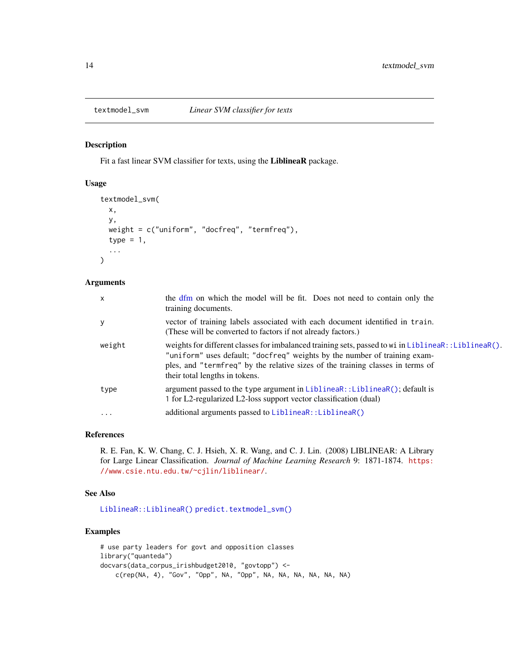<span id="page-13-0"></span>

# Description

Fit a fast linear SVM classifier for texts, using the LiblineaR package.

#### Usage

```
textmodel_svm(
  x,
 y,
 weight = c("uniform", "docfreq", "termfreq"),
 type = 1,
  ...
)
```
#### Arguments

| $\mathsf{x}$ | the dfm on which the model will be fit. Does not need to contain only the<br>training documents.                                                                                                                                                                                                      |
|--------------|-------------------------------------------------------------------------------------------------------------------------------------------------------------------------------------------------------------------------------------------------------------------------------------------------------|
| y            | vector of training labels associated with each document identified in train.<br>(These will be converted to factors if not already factors.)                                                                                                                                                          |
| weight       | weights for different classes for imbalanced training sets, passed to wi in LiblineaR: :LiblineaR().<br>"uniform" uses default; "docfreq" weights by the number of training exam-<br>ples, and "termfreq" by the relative sizes of the training classes in terms of<br>their total lengths in tokens. |
| type         | argument passed to the type argument in LiblineaR:: LiblineaR(); default is<br>1 for L2-regularized L2-loss support vector classification (dual)                                                                                                                                                      |
| .            | additional arguments passed to LiblineaR:: LiblineaR()                                                                                                                                                                                                                                                |
|              |                                                                                                                                                                                                                                                                                                       |

# References

R. E. Fan, K. W. Chang, C. J. Hsieh, X. R. Wang, and C. J. Lin. (2008) LIBLINEAR: A Library for Large Linear Classification. *Journal of Machine Learning Research* 9: 1871-1874. [https:](https://www.csie.ntu.edu.tw/~cjlin/liblinear/) [//www.csie.ntu.edu.tw/~cjlin/liblinear/](https://www.csie.ntu.edu.tw/~cjlin/liblinear/).

#### See Also

[LiblineaR::LiblineaR\(\)](#page-0-0) [predict.textmodel\\_svm\(\)](#page-0-0)

```
# use party leaders for govt and opposition classes
library("quanteda")
docvars(data_corpus_irishbudget2010, "govtopp") <-
    c(rep(NA, 4), "Gov", "Opp", NA, "Opp", NA, NA, NA, NA, NA, NA)
```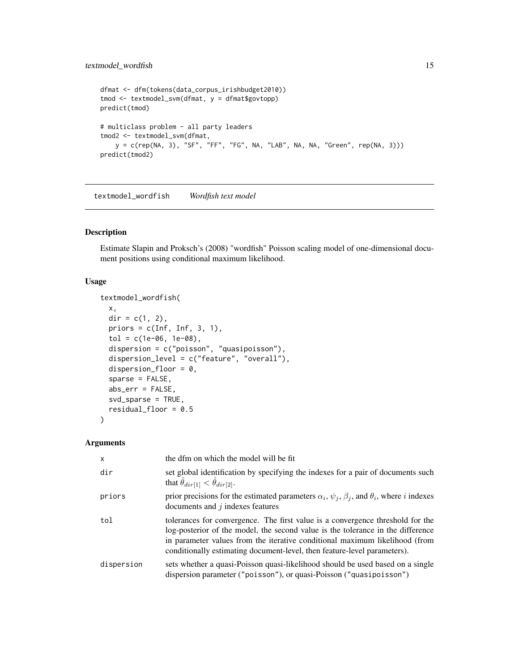# <span id="page-14-0"></span>textmodel\_wordfish 15

```
dfmat <- dfm(tokens(data_corpus_irishbudget2010))
tmod <- textmodel_svm(dfmat, y = dfmat$govtopp)
predict(tmod)
# multiclass problem - all party leaders
tmod2 <- textmodel_svm(dfmat,
   y = c(rep(NA, 3), "SF", "FF", "FG", NA, "LAB", NA, NA, "Green", rep(NA, 3)))
predict(tmod2)
```
textmodel\_wordfish *Wordfish text model*

# Description

Estimate Slapin and Proksch's (2008) "wordfish" Poisson scaling model of one-dimensional document positions using conditional maximum likelihood.

#### Usage

```
textmodel_wordfish(
  x,
 dir = c(1, 2),
 priors = c(Inf, Inf, 3, 1),
  tol = c(1e-06, 1e-08),dispersion = c("poisson", "quasipoisson"),
  dispersion_level = c("feature", "overall"),
  dispersion_floor = 0,
  sparse = FALSE,
  abs_err = FALSE,
  svd_sparse = TRUE,
  residual_floor = 0.5)
```
#### Arguments

| $\mathsf{x}$ | the dfm on which the model will be fit                                                                                                                                                                                                                                                                                       |
|--------------|------------------------------------------------------------------------------------------------------------------------------------------------------------------------------------------------------------------------------------------------------------------------------------------------------------------------------|
| dir          | set global identification by specifying the indexes for a pair of documents such<br>that $\hat{\theta}_{dir[1]} < \hat{\theta}_{dir[2]}$ .                                                                                                                                                                                   |
| priors       | prior precisions for the estimated parameters $\alpha_i$ , $\psi_j$ , $\beta_j$ , and $\theta_i$ , where <i>i</i> indexes<br>documents and $j$ indexes features                                                                                                                                                              |
| tol          | tolerances for convergence. The first value is a convergence threshold for the<br>log-posterior of the model, the second value is the tolerance in the difference<br>in parameter values from the iterative conditional maximum likelihood (from<br>conditionally estimating document-level, then feature-level parameters). |
| dispersion   | sets whether a quasi-Poisson quasi-likelihood should be used based on a single<br>dispersion parameter ("poisson"), or quasi-Poisson ("quasipoisson")                                                                                                                                                                        |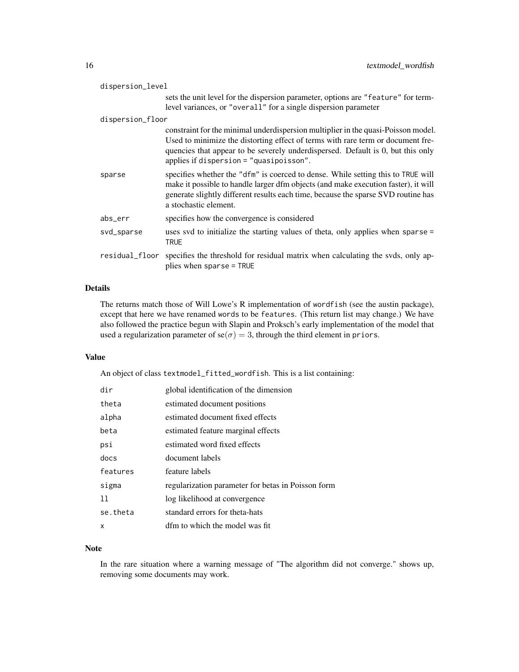| dispersion_level |                                                                                                                                                                                                                                                                                                      |
|------------------|------------------------------------------------------------------------------------------------------------------------------------------------------------------------------------------------------------------------------------------------------------------------------------------------------|
|                  | sets the unit level for the dispersion parameter, options are "feature" for term-<br>level variances, or "overall" for a single dispersion parameter                                                                                                                                                 |
| dispersion_floor |                                                                                                                                                                                                                                                                                                      |
|                  | constraint for the minimal underdispersion multiplier in the quasi-Poisson model.<br>Used to minimize the distorting effect of terms with rare term or document fre-<br>quencies that appear to be severely underdispersed. Default is 0, but this only<br>applies if dispersion $=$ "quasipoisson". |
| sparse           | specifies whether the "dfm" is coerced to dense. While setting this to TRUE will<br>make it possible to handle larger dfm objects (and make execution faster), it will<br>generate slightly different results each time, because the sparse SVD routine has<br>a stochastic element.                 |
| abs_err          | specifies how the convergence is considered                                                                                                                                                                                                                                                          |
| svd_sparse       | uses svd to initialize the starting values of theta, only applies when sparse =<br>TRUE                                                                                                                                                                                                              |
| residual_floor   | specifies the threshold for residual matrix when calculating the svds, only ap-<br>plies when sparse = TRUE                                                                                                                                                                                          |

# Details

The returns match those of Will Lowe's R implementation of wordfish (see the austin package), except that here we have renamed words to be features. (This return list may change.) We have also followed the practice begun with Slapin and Proksch's early implementation of the model that used a regularization parameter of  $se(\sigma) = 3$ , through the third element in priors.

# Value

An object of class textmodel\_fitted\_wordfish. This is a list containing:

| dir      | global identification of the dimension             |
|----------|----------------------------------------------------|
| theta    | estimated document positions                       |
| alpha    | estimated document fixed effects                   |
| beta     | estimated feature marginal effects                 |
| psi      | estimated word fixed effects                       |
| docs     | document labels                                    |
| features | feature labels                                     |
| sigma    | regularization parameter for betas in Poisson form |
| 11       | log likelihood at convergence                      |
| se.theta | standard errors for theta-hats                     |
| X        | dfm to which the model was fit                     |

# Note

In the rare situation where a warning message of "The algorithm did not converge." shows up, removing some documents may work.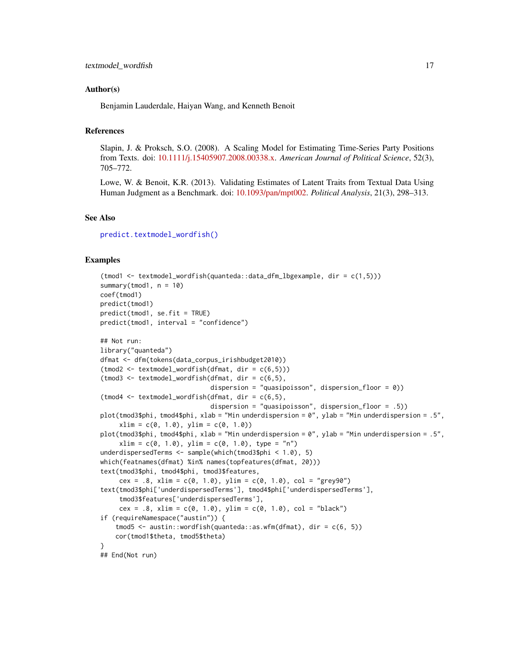#### <span id="page-16-0"></span>Author(s)

Benjamin Lauderdale, Haiyan Wang, and Kenneth Benoit

# References

Slapin, J. & Proksch, S.O. (2008). A Scaling Model for Estimating Time-Series Party Positions from Texts. doi: [10.1111/j.15405907.2008.00338.x.](https://doi.org/10.1111/j.1540-5907.2008.00338.x) *American Journal of Political Science*, 52(3), 705–772.

Lowe, W. & Benoit, K.R. (2013). Validating Estimates of Latent Traits from Textual Data Using Human Judgment as a Benchmark. doi: [10.1093/pan/mpt002.](https://doi.org/10.1093/pan/mpt002) *Political Analysis*, 21(3), 298–313.

## See Also

[predict.textmodel\\_wordfish\(\)](#page-0-0)

```
(tmod1 <- textmodel_wordfish(quanteda::data_dfm_lbgexample, dir = c(1,5)))
summary(tmod1, n = 10)
coef(tmod1)
predict(tmod1)
predict(tmod1, se.fit = TRUE)
predict(tmod1, interval = "confidence")
## Not run:
library("quanteda")
dfmat <- dfm(tokens(data_corpus_irishbudget2010))
(tmod2 <- textmodel_wordfish(dfmat, dir = c(6,5)))
(t \mod 3 \leq t \text{ extended}_wordfish(df \mod 3 \leq t \leq 6,5),
                              dispersion = "quasipoisson", dispersion_floor = 0))
(t \mod 4 \leq t \text{ extended}_wordfish(dfmat, dir = c(6,5)),dispersion = "quasipoisson", dispersion_floor = .5))
plot(tmod3$phi, tmod4$phi, xlab = "Min underdispersion = 0", ylab = "Min underdispersion = .5",
     xlim = c(0, 1.0), ylim = c(0, 1.0))plot(tmod3$phi, tmod4$phi, xlab = "Min underdispersion = 0", ylab = "Min underdispersion = .5",
     xlim = c(0, 1.0), ylim = c(0, 1.0), type = "n")underdispersedTerms <- sample(which(tmod3$phi < 1.0), 5)
which(featnames(dfmat) %in% names(topfeatures(dfmat, 20)))
text(tmod3$phi, tmod4$phi, tmod3$features,
     cex = .8, xlim = c(0, 1.0), ylim = c(0, 1.0), col = "grey90")
text(tmod3$phi['underdispersedTerms'], tmod4$phi['underdispersedTerms'],
     tmod3$features['underdispersedTerms'],
     cex = .8, xlim = c(0, 1.0), ylim = c(0, 1.0), col = "black")
if (requireNamespace("austin")) {
    tmod5 <- austin::wordfish(quanteda::as.wfm(dfmat), dir = c(6, 5))
    cor(tmod1$theta, tmod5$theta)
}
## End(Not run)
```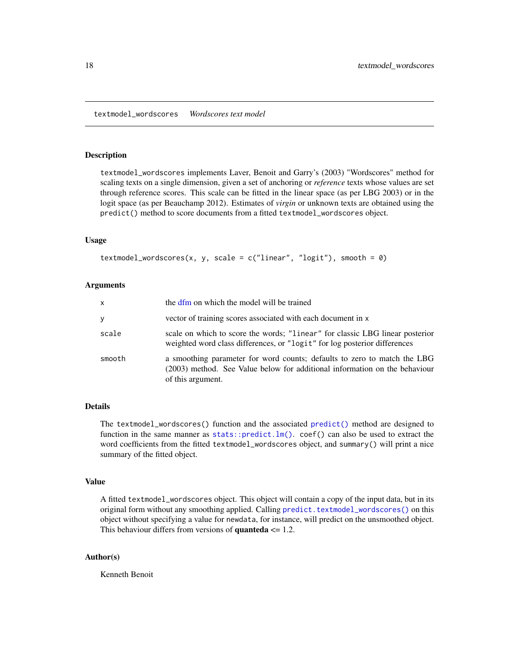#### <span id="page-17-1"></span><span id="page-17-0"></span>Description

textmodel\_wordscores implements Laver, Benoit and Garry's (2003) "Wordscores" method for scaling texts on a single dimension, given a set of anchoring or *reference* texts whose values are set through reference scores. This scale can be fitted in the linear space (as per LBG 2003) or in the logit space (as per Beauchamp 2012). Estimates of *virgin* or unknown texts are obtained using the predict() method to score documents from a fitted textmodel\_wordscores object.

#### Usage

```
textmodel_wordscores(x, y, scale = c("linear", "logit"), smooth = 0)
```
#### Arguments

| x      | the dfm on which the model will be trained                                                                                                                                  |
|--------|-----------------------------------------------------------------------------------------------------------------------------------------------------------------------------|
| У      | vector of training scores associated with each document in x                                                                                                                |
| scale  | scale on which to score the words; "linear" for classic LBG linear posterior<br>weighted word class differences, or "logit" for log posterior differences                   |
| smooth | a smoothing parameter for word counts; defaults to zero to match the LBG<br>(2003) method. See Value below for additional information on the behaviour<br>of this argument. |

# Details

The textmodel\_wordscores() function and the associated [predict\(\)](#page-0-0) method are designed to function in the same manner as  $stats::predict.lm()$ . coef() can also be used to extract the word coefficients from the fitted textmodel\_wordscores object, and summary() will print a nice summary of the fitted object.

#### Value

A fitted textmodel\_wordscores object. This object will contain a copy of the input data, but in its original form without any smoothing applied. Calling [predict.textmodel\\_wordscores\(\)](#page-0-0) on this object without specifying a value for newdata, for instance, will predict on the unsmoothed object. This behaviour differs from versions of **quanteda**  $\leq 1.2$ .

#### Author(s)

Kenneth Benoit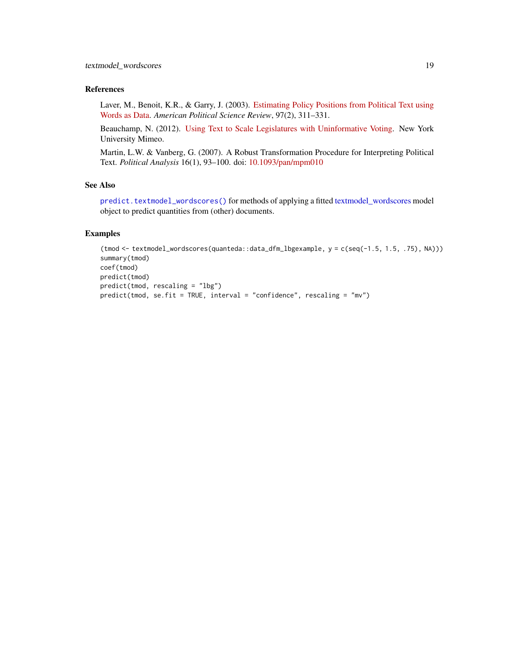# <span id="page-18-0"></span>References

Laver, M., Benoit, K.R., & Garry, J. (2003). [Estimating Policy Positions from Political Text using](https://kenbenoit.net/pdfs/WORDSCORESAPSR.pdf) [Words as Data.](https://kenbenoit.net/pdfs/WORDSCORESAPSR.pdf) *American Political Science Review*, 97(2), 311–331.

Beauchamp, N. (2012). [Using Text to Scale Legislatures with Uninformative Voting.](http://nickbeauchamp.com/work/Beauchamp_scaling_current.pdf) New York University Mimeo.

Martin, L.W. & Vanberg, G. (2007). A Robust Transformation Procedure for Interpreting Political Text. *Political Analysis* 16(1), 93–100. doi: [10.1093/pan/mpm010](https://doi.org/10.1093/pan/mpm010)

# See Also

[predict.textmodel\\_wordscores\(\)](#page-0-0) for methods of applying a fitted [textmodel\\_wordscores](#page-17-1) model object to predict quantities from (other) documents.

```
(tmod <- textmodel_wordscores(quanteda::data_dfm_lbgexample, y = c(seq(-1.5, 1.5, .75), NA)))
summary(tmod)
coef(tmod)
predict(tmod)
predict(tmod, rescaling = "lbg")
predict(tmod, se.fit = TRUE, interval = "confidence", rescaling = "mv")
```